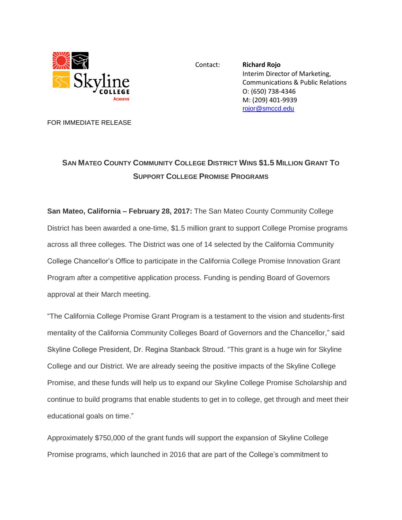

Contact: **Richard Rojo** Interim Director of Marketing, Communications & Public Relations O: (650) 738-4346 M: (209) 401-9939 [rojor@smccd.edu](mailto:rojor@smccd.edu)

FOR IMMEDIATE RELEASE

## **SAN MATEO COUNTY COMMUNITY COLLEGE DISTRICT WINS \$1.5 MILLION GRANT TO SUPPORT COLLEGE PROMISE PROGRAMS**

**San Mateo, California – February 28, 2017:** The San Mateo County Community College District has been awarded a one-time, \$1.5 million grant to support College Promise programs across all three colleges. The District was one of 14 selected by the California Community College Chancellor's Office to participate in the California College Promise Innovation Grant Program after a competitive application process. Funding is pending Board of Governors approval at their March meeting.

"The California College Promise Grant Program is a testament to the vision and students-first mentality of the California Community Colleges Board of Governors and the Chancellor," said Skyline College President, Dr. Regina Stanback Stroud. "This grant is a huge win for Skyline College and our District. We are already seeing the positive impacts of the Skyline College Promise, and these funds will help us to expand our Skyline College Promise Scholarship and continue to build programs that enable students to get in to college, get through and meet their educational goals on time."

Approximately \$750,000 of the grant funds will support the expansion of Skyline College Promise programs, which launched in 2016 that are part of the College's commitment to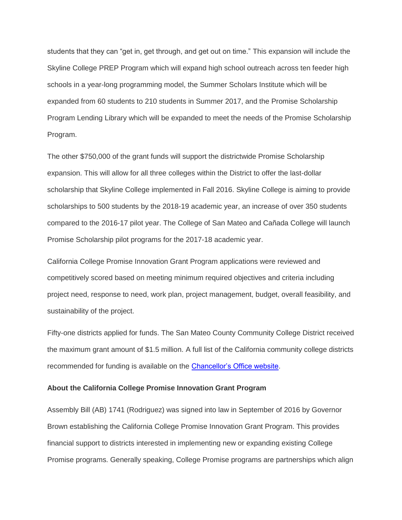students that they can "get in, get through, and get out on time." This expansion will include the Skyline College PREP Program which will expand high school outreach across ten feeder high schools in a year-long programming model, the Summer Scholars Institute which will be expanded from 60 students to 210 students in Summer 2017, and the Promise Scholarship Program Lending Library which will be expanded to meet the needs of the Promise Scholarship Program.

The other \$750,000 of the grant funds will support the districtwide Promise Scholarship expansion. This will allow for all three colleges within the District to offer the last-dollar scholarship that Skyline College implemented in Fall 2016. Skyline College is aiming to provide scholarships to 500 students by the 2018-19 academic year, an increase of over 350 students compared to the 2016-17 pilot year. The College of San Mateo and Cañada College will launch Promise Scholarship pilot programs for the 2017-18 academic year.

California College Promise Innovation Grant Program applications were reviewed and competitively scored based on meeting minimum required objectives and criteria including project need, response to need, work plan, project management, budget, overall feasibility, and sustainability of the project.

Fifty-one districts applied for funds. The San Mateo County Community College District received the maximum grant amount of \$1.5 million. A full list of the California community college districts recommended for funding is available on the [Chancellor's Office website.](http://extranet.cccco.edu/Divisions/StudentServices/CaliforniaPromise.aspx)

## **About the California College Promise Innovation Grant Program**

Assembly Bill (AB) 1741 (Rodriguez) was signed into law in September of 2016 by Governor Brown establishing the California College Promise Innovation Grant Program. This provides financial support to districts interested in implementing new or expanding existing College Promise programs. Generally speaking, College Promise programs are partnerships which align